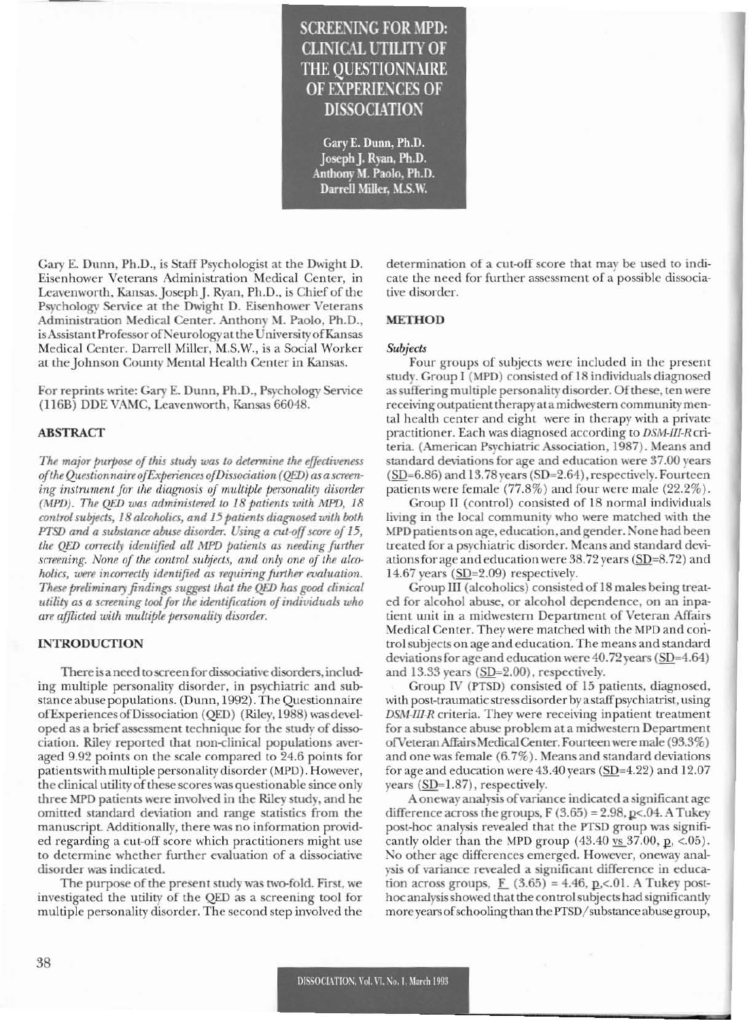# **SCREENING FOR MPD: CLINICAL UTILITY OF THE OUESTIONNAIRE OF EXPERIENCES OF DISSOCIATION**

Gary E. Dunn, Ph.D. Joseph J. Ryan, Ph.D. Anthony M. Paolo, Ph.D. Darrell Miller, M.S.W.

Gary E. Dunn, Ph.D., is Staff Psychologist at the Dwight D. Eisenhower Veterans Administration Medical Center, in Leavenworth, Kansas. Joseph J. Ryan, Ph.D., is Chief of the Psychology Service at the Dwight D. Eisenhower Veterans Administration Medical Center. Anthony M. Paolo, Ph.D., is Assistant Professor of Neurology at the University of Kansas Medical Center. Darrell Miller, M.S.W., is a Social Worker at the Johnson County Mental Health Center in Kansas.

For reprints write: Gary E. Dunn, Ph.D., Psychology Service (116B) DDE VAMC, Leavenworth, Kansas 66048.

## **ABSTRACT**

The major purpose of this study was to determine the effectiveness of the Questionnaire of Experiences of Dissociation (QED) as a screening instrument for the diagnosis of multiple personality disorder (MPD). The QED was administered to 18 patients with MPD, 18 control subjects, 18 alcoholics, and 15 patients diagnosed with both PTSD and a substance abuse disorder. Using a cut-off score of 15, the QED correctly identified all MPD patients as needing further screening. None of the control subjects, and only one of the alcoholics, were incorrectly identified as requiring further evaluation. These preliminary findings suggest that the QED has good clinical utility as a screening tool for the identification of individuals who are afflicted with multiple personality disorder.

## **INTRODUCTION**

There is a need to screen for dissociative disorders, including multiple personality disorder, in psychiatric and substance abuse populations. (Dunn, 1992). The Questionnaire of Experiences of Dissociation (OED) (Riley, 1988) was developed as a brief assessment technique for the study of dissociation. Riley reported that non-clinical populations averaged 9.92 points on the scale compared to 24.6 points for patients with multiple personality disorder (MPD). However, the clinical utility of these scores was questionable since only three MPD patients were involved in the Riley study, and he omitted standard deviation and range statistics from the manuscript. Additionally, there was no information provided regarding a cut-off score which practitioners might use to determine whether further evaluation of a dissociative disorder was indicated.

The purpose of the present study was two-fold. First, we investigated the utility of the QED as a screening tool for multiple personality disorder. The second step involved the determination of a cut-off score that may be used to indicate the need for further assessment of a possible dissociative disorder.

## **METHOD**

#### **Subjects**

Four groups of subjects were included in the present study. Group I (MPD) consisted of 18 individuals diagnosed as suffering multiple personality disorder. Of these, ten were receiving outpatient therapy at a midwestern community mental health center and eight were in therapy with a private practitioner. Each was diagnosed according to DSM-III-R criteria. (American Psychiatric Association, 1987). Means and standard deviations for age and education were 37.00 years  $(SD=6.86)$  and 13.78 years  $(SD=2.64)$ , respectively. Fourteen patients were female (77.8%) and four were male (22.2%).

Group II (control) consisted of 18 normal individuals living in the local community who were matched with the MPD patients on age, education, and gender. None had been treated for a psychiatric disorder. Means and standard deviations for age and education were 38.72 years (SD=8.72) and 14.67 years  $(SD=2.09)$  respectively.

Group III (alcoholics) consisted of 18 males being treated for alcohol abuse, or alcohol dependence, on an inpatient unit in a midwestern Department of Veteran Affairs Medical Center. They were matched with the MPD and control subjects on age and education. The means and standard deviations for age and education were 40.72 years (SD=4.64) and 13.33 years (SD=2.00), respectively.

Group IV (PTSD) consisted of 15 patients, diagnosed, with post-traumatic stress disorder by a staff psychiatrist, using DSM-III-R criteria. They were receiving inpatient treatment for a substance abuse problem at a midwestern Department of Veteran Affairs Medical Center. Fourteen were male (93.3%) and one was female (6.7%). Means and standard deviations for age and education were  $43.40$  years (SD= $4.22$ ) and  $12.07$ years  $(SD=1.87)$ , respectively.

A oneway analysis of variance indicated a significant age difference across the groups,  $F(3.65) = 2.98$ ,  $p<0.4$ . A Tukey post-hoc analysis revealed that the PTSD group was significantly older than the MPD group  $(43.40 \text{ vs } 37.00, \text{ p}, \text{ &05}).$ No other age differences emerged. However, oneway analysis of variance revealed a significant difference in education across groups,  $F(3.65) = 4.46$ , p,<.01. A Tukey posthoc analysis showed that the control subjects had significantly more years of schooling than the PTSD/substance abuse group,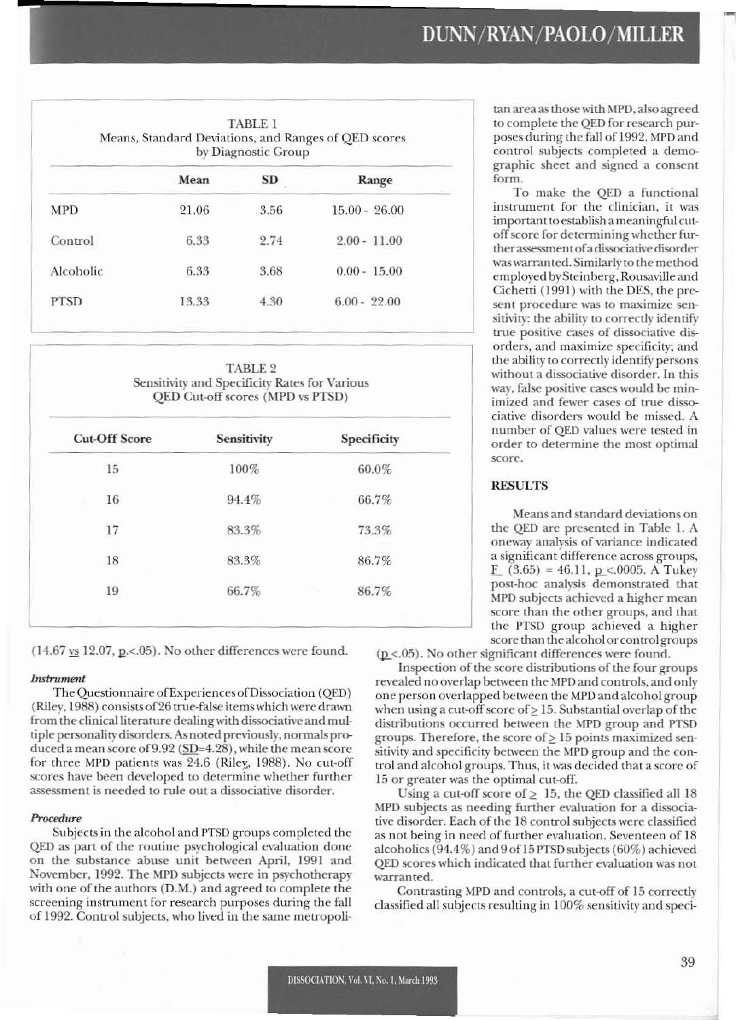| <b>TABLE 1</b><br>Means, Standard Deviations, and Ranges of QED scores<br>by Diagnostic Group |       |           |                 |  |
|-----------------------------------------------------------------------------------------------|-------|-----------|-----------------|--|
|                                                                                               | Mean  | <b>SD</b> | Range           |  |
| <b>MPD</b>                                                                                    | 21.06 | 3.56      | $15.00 - 26.00$ |  |
| Control                                                                                       | 6.33  | 2.74      | $2.00 - 11.00$  |  |
| Alcoholic                                                                                     | 6.33  | 3.68      | $0.00 - 15.00$  |  |
| <b>PTSD</b>                                                                                   | 13.33 | 4.30      | $6.00 - 22.00$  |  |
|                                                                                               |       |           |                 |  |

**TABLE 2** Sensitivity and Specificity Rates for Various QED Cut-off scores (MPD vs PTSD)

| Sensitivity | Specificity |
|-------------|-------------|
| 100%        | 60.0%       |
| 94.4%       | 66.7%       |
| 83.3%       | 73.3%       |
| 83.3%       | 86.7%       |
| 66.7%       | 86.7%       |
|             |             |

 $(14.67 \text{ vs } 12.07, \text{ p} < .05)$ . No other differences were found.

## **Instrument**

The Questionnaire of Experiences of Dissociation (QED) (Riley, 1988) consists of 26 true-false items which were drawn from the clinical literature dealing with dissociative and multiple personality disorders. As noted previously, normals produced a mean score of  $9.92$  (SD=4.28), while the mean score for three MPD patients was 24.6 (Riley, 1988). No cut-off scores have been developed to determine whether further assessment is needed to rule out a dissociative disorder.

# Procedure

Subjects in the alcohol and PTSD groups completed the QED as part of the routine psychological evaluation done on the substance abuse unit between April, 1991 and November, 1992. The MPD subjects were in psychotherapy with one of the authors (D.M.) and agreed to complete the screening instrument for research purposes during the fall of 1992. Control subjects, who lived in the same metropolitan area as those with MPD, also agreed to complete the QED for research purposes during the fall of 1992. MPD and control subjects completed a demographic sheet and signed a consent form.

To make the QED a functional instrument for the clinician, it was important to establish a meaningful cutoff score for determining whether further assessment of a dissociative disorder was warranted. Similarly to the method employed by Steinberg, Rousaville and Cichetti (1991) with the DES, the present procedure was to maximize sensitivity: the ability to correctly identify true positive cases of dissociative disorders, and maximize specificity; and the ability to correctly identify persons without a dissociative disorder. In this way, false positive cases would be minimized and fewer cases of true dissociative disorders would be missed. A number of QED values were tested in order to determine the most optimal score.

## **RESULTS**

Means and standard deviations on the QED are presented in Table 1. A oneway analysis of variance indicated a significant difference across groups,  $\underline{F}$  (3.65) = 46.11, p < 0005. A Tukey post-hoc analysis demonstrated that MPD subjects achieved a higher mean score than the other groups, and that the PTSD group achieved a higher score than the alcohol or control groups

 $(p \lt 0.05)$ . No other significant differences were found.

Inspection of the score distributions of the four groups revealed no overlap between the MPD and controls, and only one person overlapped between the MPD and alcohol group when using a cut-off score of  $\geq$  15. Substantial overlap of the distributions occurred between the MPD group and PTSD groups. Therefore, the score of  $\geq 15$  points maximized sensitivity and specificity between the MPD group and the control and alcohol groups. Thus, it was decided that a score of 15 or greater was the optimal cut-off.

Using a cut-off score of  $\geq 15$ , the QED classified all 18 MPD subjects as needing further evaluation for a dissociative disorder. Each of the 18 control subjects were classified as not being in need of further evaluation. Seventeen of 18 alcoholics  $(94.4\%)$  and  $9$  of 15 PTSD subjects  $(60\%)$  achieved QED scores which indicated that further evaluation was not warranted.

Contrasting MPD and controls, a cut-off of 15 correctly classified all subjects resulting in 100% sensitivity and speci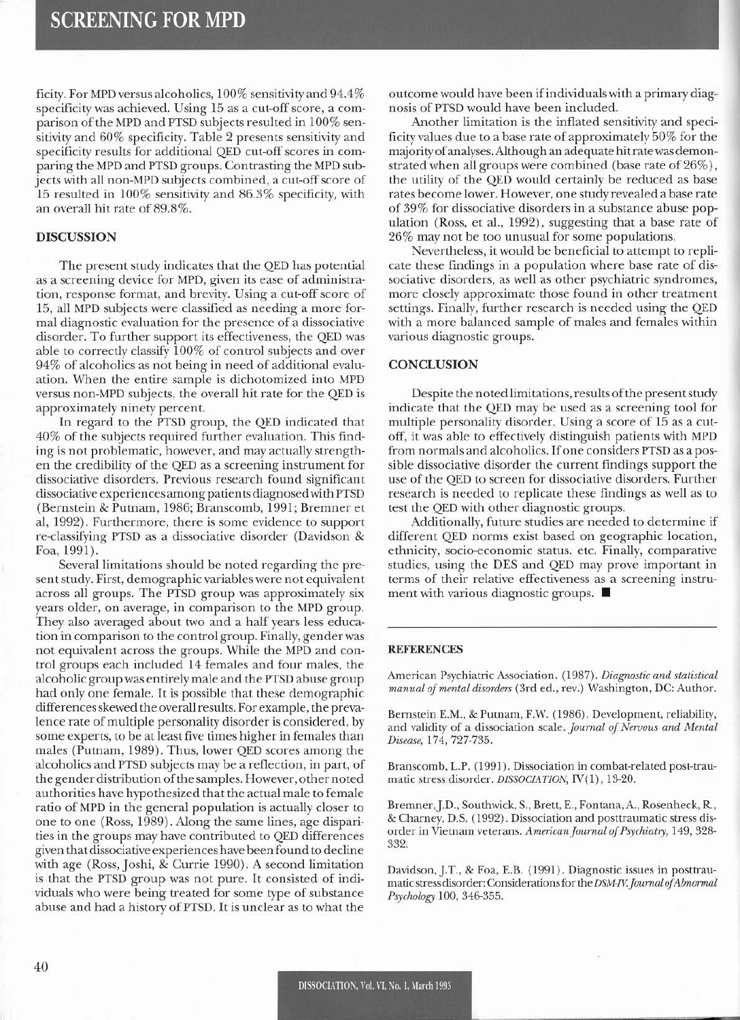ficity. For MPD versus alcoholics, 100% sensitivity and 94.4% specificity was achieved. Using 15 as a cut-off score, a comparison of the MPD and PTSD subjects resulted in 100% sensitivity and 60% specificity. Table 2 presents sensitivity and specificity results for additional QED cut-off scores in comparing the MPD and PTSD groups. Contrasting the MPD subjects with all non-MPD subjects combined, a cut-off score of 15 resulted in 100% sensitivity and 86.3% specificity, with an overall hit rate of 89.8%.

## DISCUSSION

The present study indicates that the QED has potential as a screening device for MPD, given its ease of administration, response format, and brevity. Using a cut-off score of 15, all MPD subjects were classified as needing a more formal diagnostic evaluation for the presence of a dissociative disorder. To further support its effectiveness, the QED was able to correctly classify 100% of control subjects and over 94% of alcoholics as not being in need of additional evaluation. When the entire sample is dichotomized into MPD versus non-MPD subjects, the overall hit rate for the QED is approximately ninety percent.

In regard to the PTSD group, the QED indicated that 40% of the subjects required further evaluation. This finding is not problematic, however, and may actually strengthen the credibility of the QED as a screening instrument for dissociative disorders. Previous research found significant dissociative experiences among patients diagnosed with PTSD (Bernstein & Putnam, 1986; Branscomb, 1991; Bremner et aI, 1992). Furthermore, there is some evidence to support re-classifying PTSD as a dissociative disorder (Davidson & Foa, 1991).

Several limitations should be noted regarding the present study. First, demographic variables were not equivalent across all groups. The PTSD group was approximately six years older, on average, in comparison to the MPD group. They also averaged about two and a half years less education in comparison to the control group. Finally, gender was not equivalent across the groups. While the MPD and control groups each included 14 females and four males, the alcoholic group was entirely male and the PTSD abuse group had only one female. It is possible that these demographic differencesskewed the overall results. Forexample, the prevalence rate of multiple personality disorder is considered, by some experts, to be at least five times higher in females than males (Putnam, 1989). Thus, lower QED scores among the alcoholics and PTSD subjects may be a reflection, in part, of the gender distribution of the samples. However, other noted authorities have hypothesized that the actual male to female ratio of MPD in the general population is actually closer to one to one (Ross, 1989). Along the same lines, age disparities in the groups may have contributed to QED differences given that dissociative experiences have been found to decline with age (Ross, Joshi, & Currie 1990). A second limitation is that the PTSD group was not pure. It consisted of individuals who were being treated for some type of substance abuse and had a history of PTSD. It is unclear as to what the

outcome would have been ifindividuals with a primarydiagnosis of PTSD would have been included.

Another limitation is the inflated sensitivity and specificity values due to a base rate of approximately  $50\%$  for the majority ofanalyses. Although an adequate hit rate was demonstrated when all groups were combined (base rate of 26%), the utility of the QED would certainly be reduced as base rates become lower. However, one study revealed a base rate of 39% for dissociative disorders in a substance abuse population (Ross, et aI., 1992). suggesting that a base rate of 26% may not be too unusual for some populations.

Nevertheless, it would be beneficial to attempt to replicate these findings in a population where base rate of dissociative disorders, as well as other psychiatric syndromes, more closely approximale those found in other treatment settings. Finally, further research is needed using the QED with a more balanced sample of males and females within various diagnostic groups.

#### **CONCLUSION**

Despite the noted limitations, results of the present study indicate that the QED may be used as a screening tool for multiple personality disorder. Using a score of 15 as a cutoff, it was able to effectively distinguish patients with MPD from normals and alcoholics. If one considers PTSD as a possible dissociative disorder the current findings support the use of the QED to screen for dissociative disorders. Further research is needed to replicate these findings as well as to test the QED with other diagnostic groups.

Additionally, future studies are needed to determine if different QED norms exist based on geographic location, ethnicity, socio-economic status. etc. Finally, comparative studies, using the DES and QED may prove important in terms of their relative effectiveness as a screening instrument with various diagnostic groups. ■

#### **REFERENCES**

American Psychiatric Association. (1987). *Diagnostic and statistical manual of mental disorders* (3rd ed., rev.) Washington, DC: Author.

Bernstein E.M., & Putnam, F.W. (1986). Development, reliability, and validity of a dissociation scale. *Journal of Nervous and Mental DistaSi,* 174,727-735.

Branscomb, L.P. (199]). Dissociation in combat-related post-traumatic stress disorder. *DISSOCIATION*, IV(1), 13-20.

Bremner, J.D., Southwick, S., Brett, E., Fontana, A., Rosenheck, R., & Charney, D.S. (1992). Dissociation and posttraumatic strcss disorder in Vietnam veterans. American Journal of Psychiatry, 149, 328-332,

Davidson,].T., & Foa, E.B. (1991). Diagnostic issues in posttraumatic stress disorder: Considerations for the *DSM-IV. Journal of Abnormal PS)'cholog;'* 100, 346-355.

,